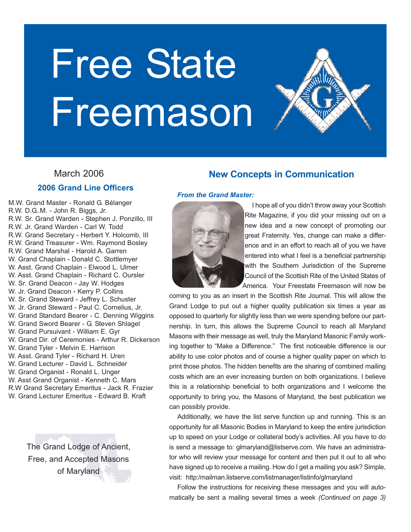



## **2006 Grand Line Officers**

M.W. Grand Master - Ronald G. Bélanger R.W. D.G..M. - John R. Biggs, Jr. R.W. Sr. Grand Warden - Stephen J. Ponzillo, III R.W. Jr. Grand Warden - Carl W. Todd R.W. Grand Secretary - Herbert Y. Holcomb, III R.W. Grand Treasurer - Wm. Raymond Bosley R.W. Grand Marshal - Harold A. Garren W. Grand Chaplain - Donald C. Stottlemyer W. Asst. Grand Chaplain - Elwood L. Ulmer W. Asst. Grand Chaplain - Richard C. Oursler W. Sr. Grand Deacon - Jay W. Hodges W. Jr. Grand Deacon - Kerry P. Collins W. Sr. Grand Steward - Jeffrey L. Schuster W. Jr. Grand Steward - Paul C. Cornelius, Jr. W. Grand Standard Bearer - C. Denning Wiggins W. Grand Sword Bearer - G. Steven Shlagel W. Grand Pursuivant - William E. Gyr W. Grand Dir. of Ceremonies - Arthur R. Dickerson W. Grand Tyler - Melvin E. Harrison W. Asst. Grand Tyler - Richard H. Uren W. Grand Lecturer - David L. Schneider W. Grand Organist - Ronald L. Unger W. Asst Grand Organist - Kenneth C. Mars R.W Grand Secretary Emeritus - Jack R. Frazier W. Grand Lecturer Emeritus - Edward B. Kraft

> The Grand Lodge of Ancient, Free, and Accepted Masons of Maryland

## **New Concepts in Communication**

#### *From the Grand Master:*



I hope all of you didn't throw away your Scottish Rite Magazine, if you did your missing out on a new idea and a new concept of promoting our great Fraternity. Yes, change can make a difference and in an effort to reach all of you we have entered into what I feel is a beneficial partnership with the Southern Jurisdiction of the Supreme Council of the Scottish Rite of the United States of America. Your Freestate Freemason will now be

coming to you as an insert in the Scottish Rite Journal. This will allow the Grand Lodge to put out a higher quality publication six times a year as opposed to quarterly for slightly less than we were spending before our partnership. In turn, this allows the Supreme Council to reach all Maryland Masons with their message as well, truly the Maryland Masonic Family working together to "Make a Difference." The first noticeable difference is our ability to use color photos and of course a higher quality paper on which to print those photos. The hidden benefits are the sharing of combined mailing costs which are an ever increasing burden on both organizations. I believe this is a relationship beneficial to both organizations and I welcome the opportunity to bring you, the Masons of Maryland, the best publication we can possibly provide.

Additionally, we have the list serve function up and running. This is an opportunity for all Masonic Bodies in Maryland to keep the entire jurisdiction up to speed on your Lodge or collateral body's activities. All you have to do is send a message to: glmaryland@listserve.com. We have an administrator who will review your message for content and then put it out to all who have signed up to receive a mailing. How do I get a mailing you ask? Simple, visit: http:/mailman.listserve.com/listmanager/listinfo/glmaryland

Follow the instructions for receiving these messages and you will automatically be sent a mailing several times a week *(Continued on page 3)*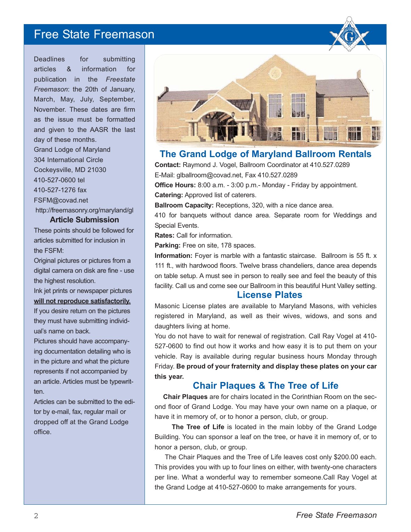Deadlines for submitting articles & information for publication in the *Freestate Freemason*: the 20th of January, March, May, July, September, November. These dates are firm as the issue must be formatted and given to the AASR the last day of these months. Grand Lodge of Maryland 304 International Circle Cockeysville, MD 21030 410-527-0600 tel 410-527-1276 fax FSFM@covad.net http://freemasonry.org/maryland/gl

#### **Article Submission**

These points should be followed for articles submitted for inclusion in the FSFM:

Original pictures or pictures from a digital camera on disk are fine - use the highest resolution.

Ink jet prints or newspaper pictures **will not reproduce satisfactorily.** If you desire return on the pictures they must have submitting individual's name on back.

Pictures should have accompanying documentation detailing who is in the picture and what the picture represents if not accompanied by an article. Articles must be typewritten.

Articles can be submitted to the editor by e-mail, fax, regular mail or dropped off at the Grand Lodge office.



## **The Grand Lodge of Maryland Ballroom Rentals**

**Contact:** Raymond J. Vogel, Ballroom Coordinator at 410.527.0289 E-Mail: glballroom@covad.net, Fax 410.527.0289

**Office Hours:** 8:00 a.m. - 3:00 p.m.- Monday - Friday by appointment.

**Catering:** Approved list of caterers.

**Ballroom Capacity:** Receptions, 320, with a nice dance area.

410 for banquets without dance area. Separate room for Weddings and Special Events.

**Rates:** Call for information.

**Parking:** Free on site, 178 spaces.

**Information:** Foyer is marble with a fantastic staircase. Ballroom is 55 ft. x 111 ft., with hardwood floors. Twelve brass chandeliers, dance area depends on table setup. A must see in person to really see and feel the beauty of this facility. Call us and come see our Ballroom in this beautiful Hunt Valley setting.

#### **License Plates**

Masonic License plates are available to Maryland Masons, with vehicles registered in Maryland, as well as their wives, widows, and sons and daughters living at home.

You do not have to wait for renewal of registration. Call Ray Vogel at 410- 527-0600 to find out how it works and how easy it is to put them on your vehicle. Ray is available during regular business hours Monday through Friday. **Be proud of your fraternity and display these plates on your car this year.**

## **Chair Plaques & The Tree of Life**

**Chair Plaques** are for chairs located in the Corinthian Room on the second floor of Grand Lodge. You may have your own name on a plaque, or have it in memory of, or to honor a person, club, or group.

The Tree of Life is located in the main lobby of the Grand Lodge Building. You can sponsor a leaf on the tree, or have it in memory of, or to honor a person, club, or group.

The Chair Plaques and the Tree of Life leaves cost only \$200.00 each. This provides you with up to four lines on either, with twenty-one characters per line. What a wonderful way to remember someone.Call Ray Vogel at the Grand Lodge at 410-527-0600 to make arrangements for yours.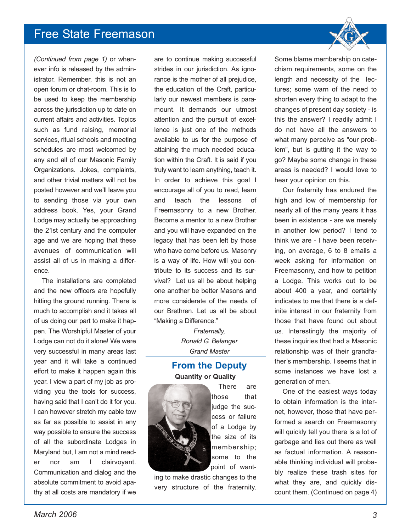*(Continued from page 1)* or whenever info is released by the administrator. Remember, this is not an open forum or chat-room. This is to be used to keep the membership across the jurisdiction up to date on current affairs and activities. Topics such as fund raising, memorial services, ritual schools and meeting schedules are most welcomed by any and all of our Masonic Family Organizations. Jokes, complaints, and other trivial matters will not be posted however and we'll leave you to sending those via your own address book. Yes, your Grand Lodge may actually be approaching the 21st century and the computer age and we are hoping that these avenues of communication will assist all of us in making a difference.

The installations are completed and the new officers are hopefully hitting the ground running. There is much to accomplish and it takes all of us doing our part to make it happen. The Worshipful Master of your Lodge can not do it alone! We were very successful in many areas last year and it will take a continued effort to make it happen again this year. I view a part of my job as providing you the tools for success, having said that I can't do it for you. I can however stretch my cable tow as far as possible to assist in any way possible to ensure the success of all the subordinate Lodges in Maryland but, I am not a mind reader nor am I clairvoyant. Communication and dialog and the absolute commitment to avoid apathy at all costs are mandatory if we

are to continue making successful strides in our jurisdiction. As ignorance is the mother of all prejudice, the education of the Craft, particularly our newest members is paramount. It demands our utmost attention and the pursuit of excellence is just one of the methods available to us for the purpose of attaining the much needed education within the Craft. It is said if you truly want to learn anything, teach it. In order to achieve this goal I encourage all of you to read, learn and teach the lessons of Freemasonry to a new Brother. Become a mentor to a new Brother and you will have expanded on the legacy that has been left by those who have come before us. Masonry is a way of life. How will you contribute to its success and its survival? Let us all be about helping one another be better Masons and more considerate of the needs of our Brethren. Let us all be about "Making a Difference."

> *Fraternally, Ronald G. Belanger Grand Master*

## **From the Deputy Quantity or Quality**



There are those that liudge the success or failure of a Lodge by the size of its membership; some to the point of want-

ing to make drastic changes to the very structure of the fraternity. Some blame membership on catechism requirements, some on the length and necessity of the lectures; some warn of the need to shorten every thing to adapt to the changes of present day society - is this the answer? I readily admit I do not have all the answers to what many perceive as "our problem", but is gutting it the way to go? Maybe some change in these areas is needed? I would love to hear your opinion on this.

Our fraternity has endured the high and low of membership for nearly all of the many years it has been in existence - are we merely in another low period? I tend to think we are - I have been receiving, on average, 6 to 8 emails a week asking for information on Freemasonry, and how to petition a Lodge. This works out to be about 400 a year, and certainly indicates to me that there is a definite interest in our fraternity from those that have found out about us. Interestingly the majority of these inquiries that had a Masonic relationship was of their grandfather's membership. I seems that in some instances we have lost a generation of men.

One of the easiest ways today to obtain information is the internet, however, those that have performed a search on Freemasonry will quickly tell you there is a lot of garbage and lies out there as well as factual information. A reasonable thinking individual will probably realize these trash sites for what they are, and quickly discount them. (Continued on page 4)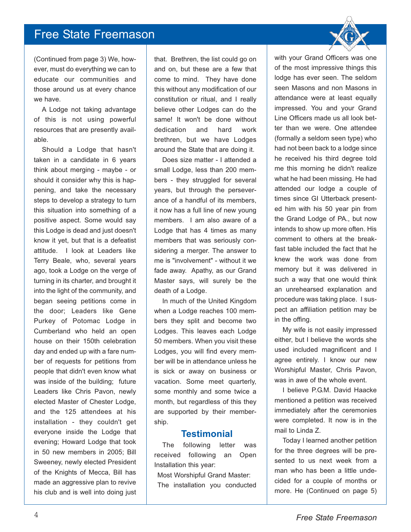(Continued from page 3) We, however, must do everything we can to educate our communities and those around us at every chance we have.

A Lodge not taking advantage of this is not using powerful resources that are presently available.

Should a Lodge that hasn't taken in a candidate in 6 years think about merging - maybe - or should it consider why this is happening, and take the necessary steps to develop a strategy to turn this situation into something of a positive aspect. Some would say this Lodge is dead and just doesn't know it yet, but that is a defeatist attitude. I look at Leaders like Terry Beale, who, several years ago, took a Lodge on the verge of turning in its charter, and brought it into the light of the community, and began seeing petitions come in the door; Leaders like Gene Purkey of Potomac Lodge in Cumberland who held an open house on their 150th celebration day and ended up with a fare number of requests for petitions from people that didn't even know what was inside of the building; future Leaders like Chris Pavon, newly elected Master of Chester Lodge, and the 125 attendees at his installation - they couldn't get everyone inside the Lodge that evening; Howard Lodge that took in 50 new members in 2005; Bill Sweeney, newly elected President of the Knights of Mecca, Bill has made an aggressive plan to revive his club and is well into doing just

that. Brethren, the list could go on and on, but these are a few that come to mind. They have done this without any modification of our constitution or ritual, and I really believe other Lodges can do the same! It won't be done without dedication and hard work brethren, but we have Lodges around the State that are doing it.

Does size matter - I attended a small Lodge, less than 200 members - they struggled for several years, but through the perseverance of a handful of its members, it now has a full line of new young members. I am also aware of a Lodge that has 4 times as many members that was seriously considering a merger. The answer to me is "involvement" - without it we fade away. Apathy, as our Grand Master says, will surely be the death of a Lodge.

In much of the United Kingdom when a Lodge reaches 100 members they split and become two Lodges. This leaves each Lodge 50 members. When you visit these Lodges, you will find every member will be in attendance unless he is sick or away on business or vacation. Some meet quarterly, some monthly and some twice a month, but regardless of this they are supported by their membership.

## **Testimonial**

The following letter was received following an Open Installation this year:

Most Worshipful Grand Master: The installation you conducted with your Grand Officers was one of the most impressive things this lodge has ever seen. The seldom seen Masons and non Masons in attendance were at least equally impressed. You and your Grand Line Officers made us all look better than we were. One attendee (formally a seldom seen type) who had not been back to a lodge since he received his third degree told me this morning he didn't realize what he had been missing. He had attended our lodge a couple of times since GI Utterback presented him with his 50 year pin from the Grand Lodge of PA., but now intends to show up more often. His comment to others at the breakfast table included the fact that he knew the work was done from memory but it was delivered in such a way that one would think an unrehearsed explanation and procedure was taking place. I suspect an affiliation petition may be in the offing.

My wife is not easily impressed either, but I believe the words she used included magnificent and I agree entirely. I know our new Worshipful Master, Chris Pavon, was in awe of the whole event.

I believe P.G.M. David Haacke mentioned a petition was received immediately after the ceremonies were completed. It now is in the mail to Linda Z.

Today I learned another petition for the three degrees will be presented to us next week from a man who has been a little undecided for a couple of months or more. He (Continued on page 5)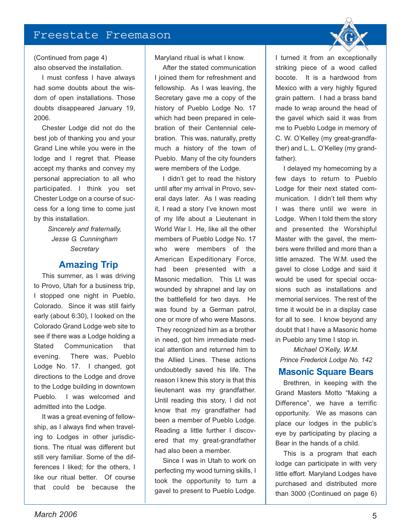(Continued from page 4) also observed the installation.

I must confess I have always had some doubts about the wisdom of open installations. Those doubts disappeared January 19, 2006.

Chester Lodge did not do the best job of thanking you and your Grand Line while you were in the lodge and I regret that. Please accept my thanks and convey my personal appreciation to all who participated. I think you set Chester Lodge on a course of success for a long time to come just by this installation.

> *Sincerely and fraternally, Jesse G. Cunningham Secretary*

## **Amazing Trip**

This summer, as I was driving to Provo, Utah for a business trip, I stopped one night in Pueblo, Colorado. Since it was still fairly early (about 6:30), I looked on the Colorado Grand Lodge web site to see if there was a Lodge holding a Stated Communication that evening. There was, Pueblo Lodge No. 17. I changed, got directions to the Lodge and drove to the Lodge building in downtown Pueblo. I was welcomed and admitted into the Lodge.

It was a great evening of fellowship, as I always find when traveling to Lodges in other jurisdictions. The ritual was different but still very familiar. Some of the differences I liked; for the others, I like our ritual better. Of course that could be because the

Maryland ritual is what I know.

After the stated communication I joined them for refreshment and fellowship. As I was leaving, the Secretary gave me a copy of the history of Pueblo Lodge No. 17 which had been prepared in celebration of their Centennial celebration. This was, naturally, pretty much a history of the town of Pueblo. Many of the city founders were members of the Lodge.

I didn't get to read the history until after my arrival in Provo, several days later. As I was reading it, I read a story I've known most of my life about a Lieutenant in World War I. He, like all the other members of Pueblo Lodge No. 17 who were members of the American Expeditionary Force, had been presented with a Masonic medallion. This Lt was wounded by shrapnel and lay on the battlefield for two days. He was found by a German patrol, one or more of who were Masons. They recognized him as a brother in need, got him immediate medical attention and returned him to the Allied Lines. These actions undoubtedly saved his life. The reason I knew this story is that this lieutenant was my grandfather. Until reading this story, I did not know that my grandfather had been a member of Pueblo Lodge. Reading a little further I discovered that my great-grandfather had also been a member.

Since I was in Utah to work on perfecting my wood turning skills, I took the opportunity to turn a gavel to present to Pueblo Lodge.

I turned it from an exceptionally striking piece of a wood called bocote. It is a hardwood from Mexico with a very highly figured grain pattern. I had a brass band made to wrap around the head of the gavel which said it was from me to Pueblo Lodge in memory of C. W. O'Kelley (my great-grandfather) and L. L. O'Kelley (my grandfather).

I delayed my homecoming by a few days to return to Pueblo Lodge for their next stated communication. I didn't tell them why I was there until we were in Lodge. When I told them the story and presented the Worshipful Master with the gavel, the members were thrilled and more than a little amazed. The W.M. used the gavel to close Lodge and said it would be used for special occasions such as installations and memorial services. The rest of the time it would be in a display case for all to see. I know beyond any doubt that I have a Masonic home in Pueblo any time I stop in.

*Michael O'Kelly, W.M. Prince Frederick Lodge No. 142*

## **Masonic Square Bears**

Brethren, in keeping with the Grand Masters Motto "Making a Difference", we have a terrific opportunity. We as masons can place our lodges in the public's eye by participating by placing a Bear in the hands of a child.

This is a program that each lodge can participate in with very little effort. Maryland Lodges have purchased and distributed more than 3000 (Continued on page 6)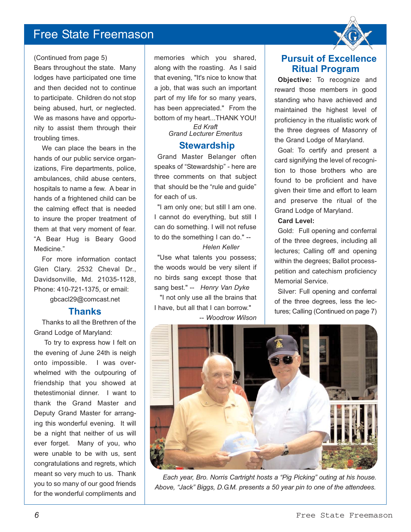#### (Continued from page 5)

Bears throughout the state. Many lodges have participated one time and then decided not to continue to participate. Children do not stop being abused, hurt, or neglected. We as masons have and opportunity to assist them through their troubling times.

We can place the bears in the hands of our public service organizations, Fire departments, police, ambulances, child abuse centers, hospitals to name a few. A bear in hands of a frightened child can be the calming effect that is needed to insure the proper treatment of them at that very moment of fear. "A Bear Hug is Beary Good Medicine."

For more information contact Glen Clary. 2532 Cheval Dr., Davidsonville, Md. 21035-1128, Phone: 410-721-1375, or email: gbcacl29@comcast.net

## **Thanks**

Thanks to all the Brethren of the Grand Lodge of Maryland:

To try to express how I felt on the evening of June 24th is neigh onto impossible. I was overwhelmed with the outpouring of friendship that you showed at thetestimonial dinner. I want to thank the Grand Master and Deputy Grand Master for arranging this wonderful evening. It will be a night that neither of us will ever forget. Many of you, who were unable to be with us, sent congratulations and regrets, which meant so very much to us. Thank you to so many of our good friends for the wonderful compliments and

memories which you shared, along with the roasting. As I said that evening, "It's nice to know that a job, that was such an important part of my life for so many years, has been appreciated." From the bottom of my heart...THANK YOU!

> *Ed Kraft Grand Lecturer Emeritus*

### **Stewardship**

Grand Master Belanger often speaks of "Stewardship" - here are three comments on that subject that should be the "rule and guide" for each of us.

"I am only one; but still I am one. I cannot do everything, but still I can do something. I will not refuse to do the something I can do." --

## *Helen Keller*

"Use what talents you possess; the woods would be very silent if no birds sang except those that sang best." -- *Henry Van Dyke*

"I not only use all the brains that I have, but all that I can borrow."

-- *Woodrow Wilson*



**Objective:** To recognize and reward those members in good standing who have achieved and maintained the highest level of proficiency in the ritualistic work of the three degrees of Masonry of the Grand Lodge of Maryland.

Goal: To certify and present a card signifying the level of recognition to those brothers who are found to be proficient and have given their time and effort to learn and preserve the ritual of the Grand Lodge of Maryland.

#### **Card Level:**

Gold: Full opening and conferral of the three degrees, including all lectures; Calling off and opening within the degrees; Ballot processpetition and catechism proficiency Memorial Service.

Silver: Full opening and conferral of the three degrees, less the lectures; Calling (Continued on page 7)



*Each year, Bro. Norris Cartright hosts a "Pig Picking" outing at his house. Above, "Jack" Biggs, D.G.M. presents a 50 year pin to one of the attendees.*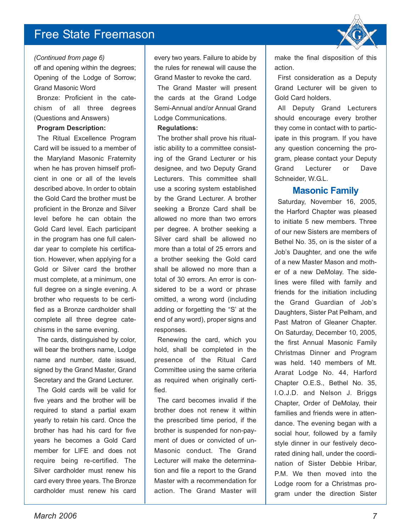#### *(Continued from page 6)*

off and opening within the degrees; Opening of the Lodge of Sorrow; Grand Masonic Word

Bronze: Proficient in the catechism of all three degrees (Questions and Answers)

#### **Program Description:**

The Ritual Excellence Program Card will be issued to a member of the Maryland Masonic Fraternity when he has proven himself proficient in one or all of the levels described above. In order to obtain the Gold Card the brother must be proficient in the Bronze and Silver level before he can obtain the Gold Card level. Each participant in the program has one full calendar year to complete his certification. However, when applying for a Gold or Silver card the brother must complete, at a minimum, one full degree on a single evening. A brother who requests to be certified as a Bronze cardholder shall complete all three degree catechisms in the same evening.

The cards, distinguished by color, will bear the brothers name, Lodge name and number, date issued, signed by the Grand Master, Grand Secretary and the Grand Lecturer.

The Gold cards will be valid for five years and the brother will be required to stand a partial exam yearly to retain his card. Once the brother has had his card for five years he becomes a Gold Card member for LIFE and does not require being re-certified. The Silver cardholder must renew his card every three years. The Bronze cardholder must renew his card every two years. Failure to abide by the rules for renewal will cause the Grand Master to revoke the card.

The Grand Master will present the cards at the Grand Lodge Semi-Annual and/or Annual Grand Lodge Communications.

#### **Regulations:**

The brother shall prove his ritualistic ability to a committee consisting of the Grand Lecturer or his designee, and two Deputy Grand Lecturers. This committee shall use a scoring system established by the Grand Lecturer. A brother seeking a Bronze Card shall be allowed no more than two errors per degree. A brother seeking a Silver card shall be allowed no more than a total of 25 errors and a brother seeking the Gold card shall be allowed no more than a total of 30 errors. An error is considered to be a word or phrase omitted, a wrong word (including adding or forgetting the "S' at the end of any word), proper signs and responses.

Renewing the card, which you hold, shall be completed in the presence of the Ritual Card Committee using the same criteria as required when originally certified.

The card becomes invalid if the brother does not renew it within the prescribed time period, if the brother is suspended for non-payment of dues or convicted of un-Masonic conduct. The Grand Lecturer will make the determination and file a report to the Grand Master with a recommendation for action. The Grand Master will

make the final disposition of this action.

First consideration as a Deputy Grand Lecturer will be given to Gold Card holders.

All Deputy Grand Lecturers should encourage every brother they come in contact with to participate in this program. If you have any question concerning the program, please contact your Deputy Grand Lecturer or Dave Schneider, W.G.L.

## **Masonic Family**

Saturday, November 16, 2005, the Harford Chapter was pleased to initiate 5 new members. Three of our new Sisters are members of Bethel No. 35, on is the sister of a Job's Daughter, and one the wife of a new Master Mason and mother of a new DeMolay. The sidelines were filled with family and friends for the initiation including the Grand Guardian of Job's Daughters, Sister Pat Pelham, and Past Matron of Gleaner Chapter. On Saturday, December 10, 2005, the first Annual Masonic Family Christmas Dinner and Program was held. 140 members of Mt. Ararat Lodge No. 44, Harford Chapter O.E.S., Bethel No. 35, I.O.J.D. and Nelson J. Briggs Chapter, Order of DeMolay, their families and friends were in attendance. The evening began with a social hour, followed by a family style dinner in our festively decorated dining hall, under the coordination of Sister Debbie Hribar, P.M. We then moved into the Lodge room for a Christmas program under the direction Sister